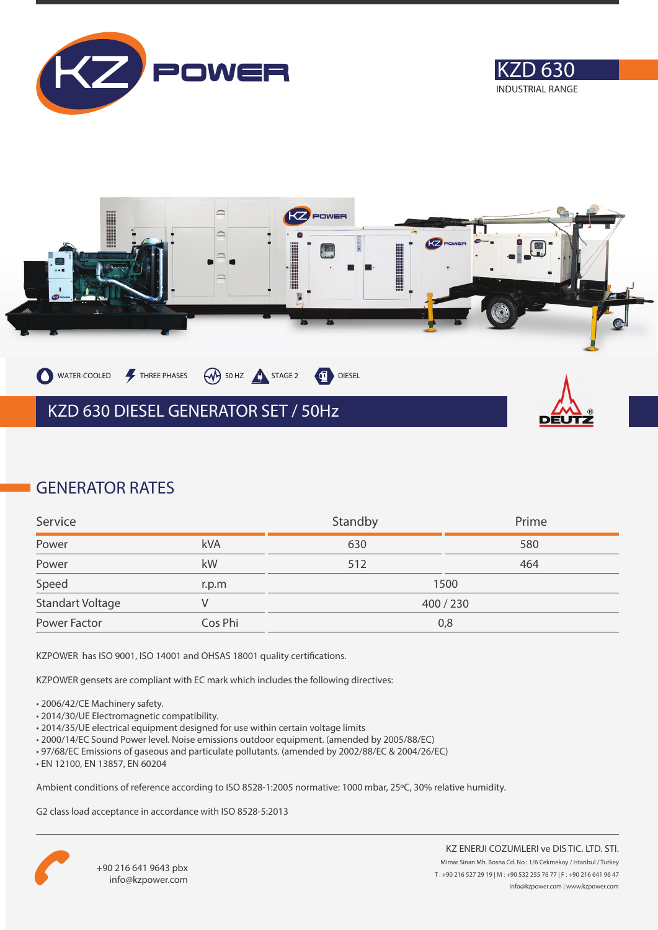





## **GENERATOR RATES**

| Service          |         | Standby | Prime   |
|------------------|---------|---------|---------|
| Power            | kVA     | 630     | 580     |
| Power            | kW      | 512     | 464     |
| Speed            | r.p.m   |         | 1500    |
| Standart Voltage |         |         | 400/230 |
| Power Factor     | Cos Phi |         | 0,8     |

KZPOWER has ISO 9001, ISO 14001 and OHSAS 18001 quality certifications.

KZPOWER gensets are compliant with EC mark which includes the following directives:

- 2006/42/CE Machinery safety.
- 2014/30/UE Electromagnetic compatibility.
- 2014/35/UE electrical equipment designed for use within certain voltage limits
- 2000/14/EC Sound Power level. Noise emissions outdoor equipment. (amended by 2005/88/EC)
- 97/68/EC Emissions of gaseous and particulate pollutants. (amended by 2002/88/EC & 2004/26/EC)
- EN 12100, EN 13857, EN 60204

Ambient conditions of reference according to ISO 8528-1:2005 normative: 1000 mbar, 25ºC, 30% relative humidity.

G2 class load acceptance in accordance with ISO 8528-5:2013

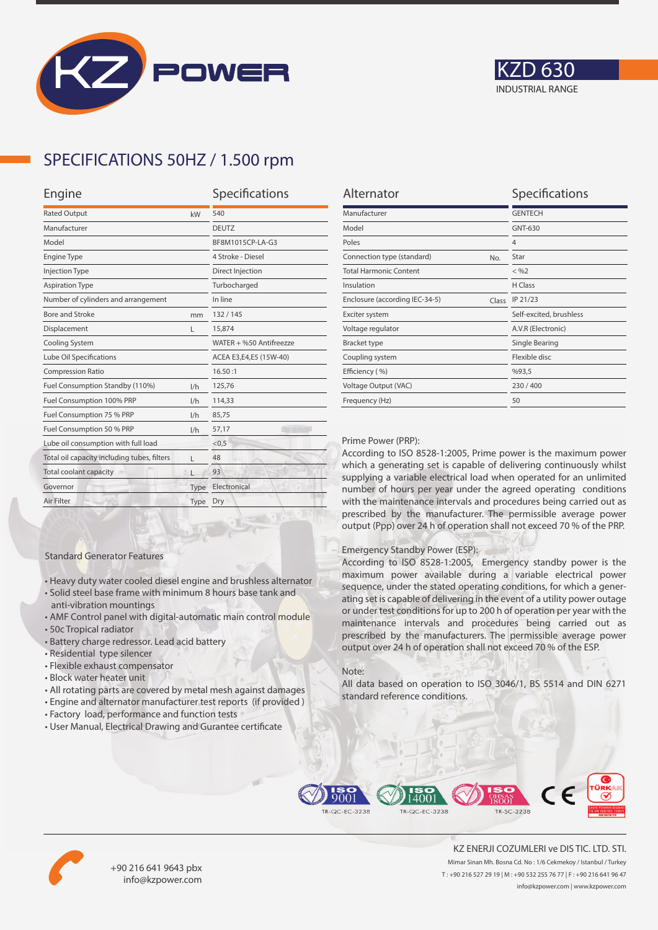



## **SPECIFICATIONS 50HZ / 1.500 rpm**

| Engine                                      |      | Specifications          |  |
|---------------------------------------------|------|-------------------------|--|
| <b>Rated Output</b><br>kW                   |      | 540                     |  |
| Manufacturer                                |      | <b>DEUTZ</b>            |  |
| Model                                       |      | BF8M1015CP-LA-G3        |  |
| <b>Engine Type</b>                          |      | 4 Stroke - Diesel       |  |
| <b>Injection Type</b>                       |      | Direct Injection        |  |
| <b>Aspiration Type</b>                      |      | Turbocharged            |  |
| Number of cylinders and arrangement         |      | In line                 |  |
| <b>Bore and Stroke</b>                      | mm   | 132/145                 |  |
| Displacement                                | L    | 15,874                  |  |
| Cooling System                              |      | WATER + %50 Antifreezze |  |
| Lube Oil Specifications                     |      | ACEA E3,E4,E5 (15W-40)  |  |
| <b>Compression Ratio</b>                    |      | 16.50:1                 |  |
| Fuel Consumption Standby (110%)             | 1/h  | 125,76                  |  |
| Fuel Consumption 100% PRP                   | 1/h  | 114,33                  |  |
| Fuel Consumption 75 % PRP                   | 1/h  | 85,75                   |  |
| Fuel Consumption 50 % PRP<br>1/h            |      | 57,17                   |  |
| Lube oil consumption with full load         |      | < 0.5                   |  |
| Total oil capacity including tubes, filters | г    | 48                      |  |
| Total coolant capacity                      |      | 93                      |  |
| Governor                                    | Type | Electronical            |  |
| Air Filter                                  | Type | Dry                     |  |
|                                             |      |                         |  |

| Alternator                              | Specifications          |
|-----------------------------------------|-------------------------|
| Manufacturer                            | <b>GENTECH</b>          |
| Model                                   | GNT-630                 |
| Poles                                   | $\overline{4}$          |
| Connection type (standard)<br>No.       | Star                    |
| <b>Total Harmonic Content</b>           | $<$ %2                  |
| Insulation                              | H Class                 |
| Enclosure (according IEC-34-5)<br>Class | IP 21/23                |
| Exciter system                          | Self-excited, brushless |
| Voltage regulator                       | A.V.R (Electronic)      |
| <b>Bracket type</b>                     | Single Bearing          |
| Coupling system                         | Flexible disc           |
| Efficiency (%)                          | %93,5                   |
| Voltage Output (VAC)                    | 230/400                 |
| Frequency (Hz)                          | 50                      |

#### Prime Power (PRP):

According to ISO 8528-1:2005, Prime power is the maximum power which a generating set is capable of delivering continuously whilst supplying a variable electrical load when operated for an unlimited number of hours per year under the agreed operating conditions with the maintenance intervals and procedures being carried out as prescribed by the manufacturer. The permissible average power output (Ppp) over 24 h of operation shall not exceed 70 % of the PRP.

#### Emergency Standby Power (ESP):

According to ISO 8528-1:2005, Emergency standby power is the maximum power available during a variable electrical power sequence, under the stated operating conditions, for which a generating set is capable of delivering in the event of a utility power outage or under test conditions for up to 200 h of operation per year with the maintenance intervals and procedures being carried out as prescribed by the manufacturers. The permissible average power output over 24 h of operation shall not exceed 70 % of the ESP.

#### Note:

All data based on operation to ISO 3046/1, BS 5514 and DIN 6271 standard reference conditions.



• All rotating parts are covered by metal mesh against damages

• Heavy duty water cooled diesel engine and brushless alternator • Solid steel base frame with minimum 8 hours base tank and

• AMF Control panel with digital-automatic main control module

• User Manual, Electrical Drawing and Gurantee certificate

Standard Generator Features

anti-vibration mountings

• Residential type silencer • Flexible exhaust compensator • Block water heater unit

• Battery charge redressor. Lead acid battery

• 50c Tropical radiator





+90 216 641 9643 pbx info@kzpower.com

KZ ENERJI COZUMLERI ve DIS TIC. LTD. STI. Mimar Sinan Mh. Bosna Cd. No : 1/6 Cekmekoy / Istanbul / Turkey T : +90 216 527 29 19 | M : +90 532 255 76 77 | F : +90 216 641 96 47 info@kzpower.com | www.kzpower.com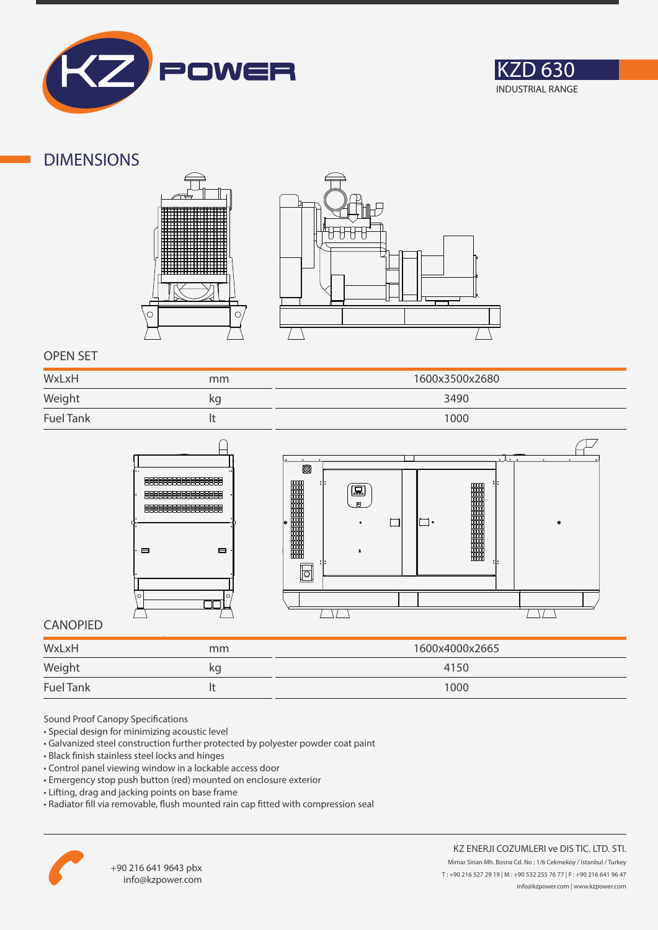



### **DIMENSIONS**





### **OPEN SET**

| WxLxH            | mm | 1600x3500x2680 |
|------------------|----|----------------|
| Weight           | kq | 3490           |
| <b>Fuel Tank</b> |    | 1000           |





### **CANOPIED**

| WxLxH            | mm | 1600x4000x2665 |
|------------------|----|----------------|
| Weight           | κg | 4150           |
| <b>Fuel Tank</b> |    | 1000           |

Sound Proof Canopy Specifications

- Special design for minimizing acoustic level
- Galvanized steel construction further protected by polyester powder coat paint
- Black finish stainless steel locks and hinges
- Control panel viewing window in a lockable access door
- Emergency stop push button (red) mounted on enclosure exterior
- Lifting, drag and jacking points on base frame
- Radiator fill via removable, flush mounted rain cap fitted with compression seal